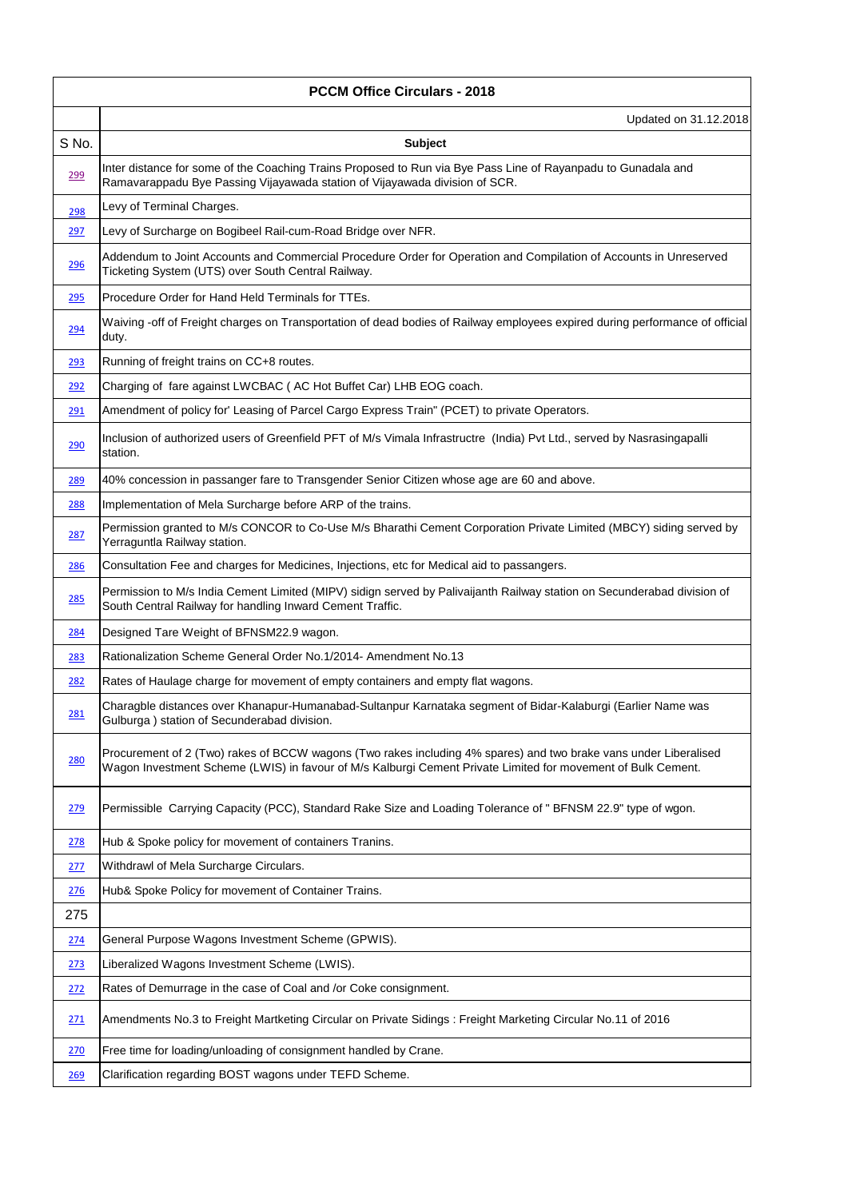|             | <b>PCCM Office Circulars - 2018</b>                                                                                                                                                                                              |  |
|-------------|----------------------------------------------------------------------------------------------------------------------------------------------------------------------------------------------------------------------------------|--|
|             | Updated on 31.12.2018                                                                                                                                                                                                            |  |
| S No.       | Subject                                                                                                                                                                                                                          |  |
| 299         | Inter distance for some of the Coaching Trains Proposed to Run via Bye Pass Line of Rayanpadu to Gunadala and<br>Ramavarappadu Bye Passing Vijayawada station of Vijayawada division of SCR.                                     |  |
| 298         | Levy of Terminal Charges.                                                                                                                                                                                                        |  |
| <u> 297</u> | Levy of Surcharge on Bogibeel Rail-cum-Road Bridge over NFR.                                                                                                                                                                     |  |
| 296         | Addendum to Joint Accounts and Commercial Procedure Order for Operation and Compilation of Accounts in Unreserved<br>Ticketing System (UTS) over South Central Railway.                                                          |  |
| 295         | Procedure Order for Hand Held Terminals for TTEs.                                                                                                                                                                                |  |
| 294         | Waiving -off of Freight charges on Transportation of dead bodies of Railway employees expired during performance of official<br>duty.                                                                                            |  |
| 293         | Running of freight trains on CC+8 routes.                                                                                                                                                                                        |  |
| <u>292</u>  | Charging of fare against LWCBAC (AC Hot Buffet Car) LHB EOG coach.                                                                                                                                                               |  |
| <u>291</u>  | Amendment of policy for' Leasing of Parcel Cargo Express Train" (PCET) to private Operators.                                                                                                                                     |  |
| 290         | Inclusion of authorized users of Greenfield PFT of M/s Vimala Infrastructre (India) Pvt Ltd., served by Nasrasingapalli<br>station.                                                                                              |  |
| <u>289</u>  | 40% concession in passanger fare to Transgender Senior Citizen whose age are 60 and above.                                                                                                                                       |  |
| 288         | Implementation of Mela Surcharge before ARP of the trains.                                                                                                                                                                       |  |
| 287         | Permission granted to M/s CONCOR to Co-Use M/s Bharathi Cement Corporation Private Limited (MBCY) siding served by<br>Yerraguntla Railway station.                                                                               |  |
| <u>286</u>  | Consultation Fee and charges for Medicines, Injections, etc for Medical aid to passangers.                                                                                                                                       |  |
| 285         | Permission to M/s India Cement Limited (MIPV) sidign served by Palivaijanth Railway station on Secunderabad division of<br>South Central Railway for handling Inward Cement Traffic.                                             |  |
| <u> 284</u> | Designed Tare Weight of BFNSM22.9 wagon.                                                                                                                                                                                         |  |
| 283         | Rationalization Scheme General Order No.1/2014- Amendment No.13                                                                                                                                                                  |  |
| <u>282</u>  | Rates of Haulage charge for movement of empty containers and empty flat wagons.                                                                                                                                                  |  |
| 281         | Charagble distances over Khanapur-Humanabad-Sultanpur Karnataka segment of Bidar-Kalaburgi (Earlier Name was<br>Gulburga) station of Secunderabad division.                                                                      |  |
| 280         | Procurement of 2 (Two) rakes of BCCW wagons (Two rakes including 4% spares) and two brake vans under Liberalised<br>Wagon Investment Scheme (LWIS) in favour of M/s Kalburgi Cement Private Limited for movement of Bulk Cement. |  |
| 279         | Permissible Carrying Capacity (PCC), Standard Rake Size and Loading Tolerance of "BFNSM 22.9" type of wgon.                                                                                                                      |  |
| <u>278</u>  | Hub & Spoke policy for movement of containers Tranins.                                                                                                                                                                           |  |
| 277         | Withdrawl of Mela Surcharge Circulars.                                                                                                                                                                                           |  |
| <u> 276</u> | Hub& Spoke Policy for movement of Container Trains.                                                                                                                                                                              |  |
| 275         |                                                                                                                                                                                                                                  |  |
| <u> 274</u> | General Purpose Wagons Investment Scheme (GPWIS).                                                                                                                                                                                |  |
| <u>273</u>  | Liberalized Wagons Investment Scheme (LWIS).                                                                                                                                                                                     |  |
| <u> 272</u> | Rates of Demurrage in the case of Coal and /or Coke consignment.                                                                                                                                                                 |  |
| 271         | Amendments No.3 to Freight Martketing Circular on Private Sidings: Freight Marketing Circular No.11 of 2016                                                                                                                      |  |
| 270         | Free time for loading/unloading of consignment handled by Crane.                                                                                                                                                                 |  |
| <u>269</u>  | Clarification regarding BOST wagons under TEFD Scheme.                                                                                                                                                                           |  |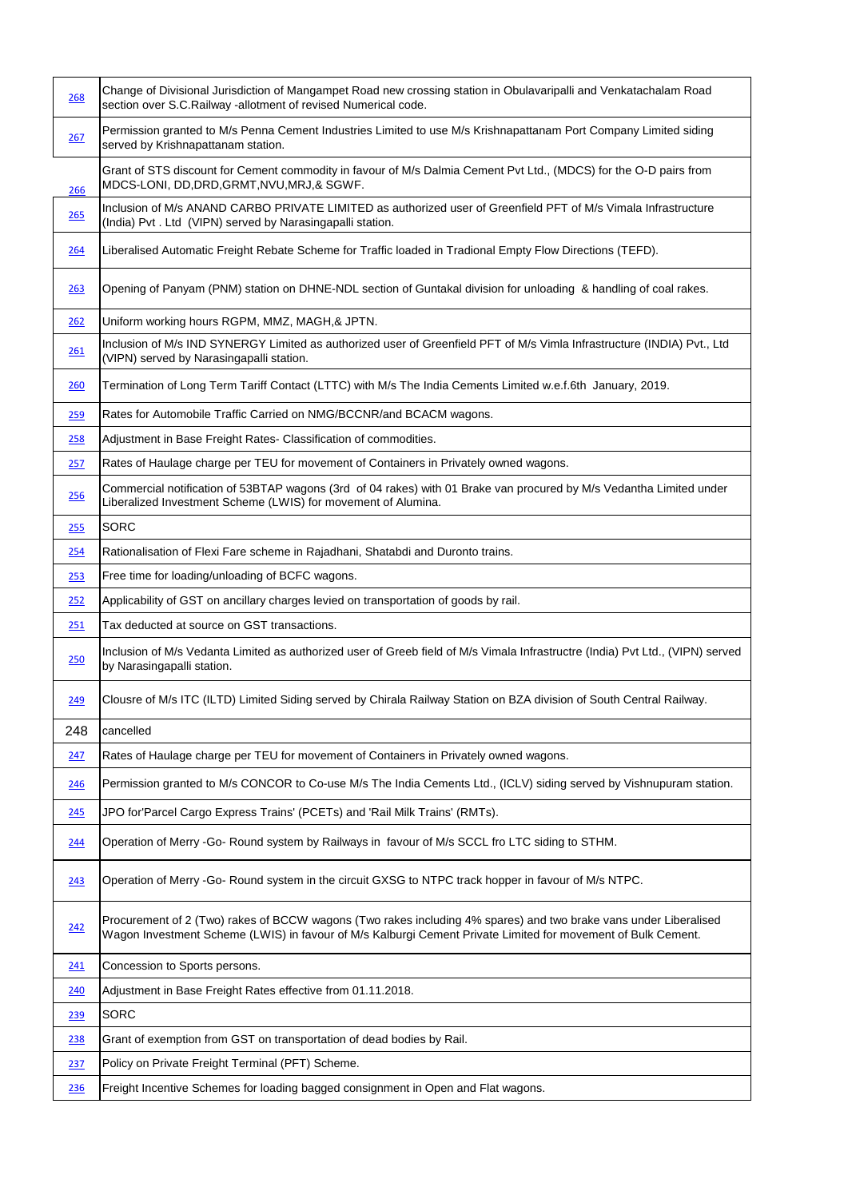| 268        | Change of Divisional Jurisdiction of Mangampet Road new crossing station in Obulavaripalli and Venkatachalam Road<br>section over S.C.Railway -allotment of revised Numerical code.                                              |
|------------|----------------------------------------------------------------------------------------------------------------------------------------------------------------------------------------------------------------------------------|
| 267        | Permission granted to M/s Penna Cement Industries Limited to use M/s Krishnapattanam Port Company Limited siding<br>served by Krishnapattanam station.                                                                           |
| <u>266</u> | Grant of STS discount for Cement commodity in favour of M/s Dalmia Cement Pvt Ltd., (MDCS) for the O-D pairs from<br>MDCS-LONI, DD, DRD, GRMT, NVU, MRJ, & SGWF.                                                                 |
| 265        | Inclusion of M/s ANAND CARBO PRIVATE LIMITED as authorized user of Greenfield PFT of M/s Vimala Infrastructure<br>(India) Pvt. Ltd (VIPN) served by Narasingapalli station.                                                      |
| 264        | Liberalised Automatic Freight Rebate Scheme for Traffic loaded in Tradional Empty Flow Directions (TEFD).                                                                                                                        |
| 263        | Opening of Panyam (PNM) station on DHNE-NDL section of Guntakal division for unloading & handling of coal rakes.                                                                                                                 |
| 262        | Uniform working hours RGPM, MMZ, MAGH,& JPTN.                                                                                                                                                                                    |
| 261        | Inclusion of M/s IND SYNERGY Limited as authorized user of Greenfield PFT of M/s Vimla Infrastructure (INDIA) Pvt., Ltd<br>(VIPN) served by Narasingapalli station.                                                              |
| 260        | Termination of Long Term Tariff Contact (LTTC) with M/s The India Cements Limited w.e.f.6th January, 2019.                                                                                                                       |
| 259        | Rates for Automobile Traffic Carried on NMG/BCCNR/and BCACM wagons.                                                                                                                                                              |
| 258        | Adjustment in Base Freight Rates- Classification of commodities.                                                                                                                                                                 |
| 257        | Rates of Haulage charge per TEU for movement of Containers in Privately owned wagons.                                                                                                                                            |
| 256        | Commercial notification of 53BTAP wagons (3rd of 04 rakes) with 01 Brake van procured by M/s Vedantha Limited under<br>Liberalized Investment Scheme (LWIS) for movement of Alumina.                                             |
| 255        | <b>SORC</b>                                                                                                                                                                                                                      |
| 254        | Rationalisation of Flexi Fare scheme in Rajadhani, Shatabdi and Duronto trains.                                                                                                                                                  |
| 253        | Free time for loading/unloading of BCFC wagons.                                                                                                                                                                                  |
| 252        | Applicability of GST on ancillary charges levied on transportation of goods by rail.                                                                                                                                             |
| 251        | Tax deducted at source on GST transactions.                                                                                                                                                                                      |
| 250        | Inclusion of M/s Vedanta Limited as authorized user of Greeb field of M/s Vimala Infrastructre (India) Pvt Ltd., (VIPN) served<br>by Narasingapalli station.                                                                     |
| 249        | Clousre of M/s ITC (ILTD) Limited Siding served by Chirala Railway Station on BZA division of South Central Railway.                                                                                                             |
| 248        | cancelled                                                                                                                                                                                                                        |
| 247        | Rates of Haulage charge per TEU for movement of Containers in Privately owned wagons.                                                                                                                                            |
| 246        | Permission granted to M/s CONCOR to Co-use M/s The India Cements Ltd., (ICLV) siding served by Vishnupuram station.                                                                                                              |
| <u>245</u> | JPO for'Parcel Cargo Express Trains' (PCETs) and 'Rail Milk Trains' (RMTs).                                                                                                                                                      |
| 244        | Operation of Merry -Go- Round system by Railways in favour of M/s SCCL fro LTC siding to STHM.                                                                                                                                   |
| 243        | Operation of Merry -Go- Round system in the circuit GXSG to NTPC track hopper in favour of M/s NTPC.                                                                                                                             |
| 242        | Procurement of 2 (Two) rakes of BCCW wagons (Two rakes including 4% spares) and two brake vans under Liberalised<br>Wagon Investment Scheme (LWIS) in favour of M/s Kalburgi Cement Private Limited for movement of Bulk Cement. |
| 241        | Concession to Sports persons.                                                                                                                                                                                                    |
| 240        | Adjustment in Base Freight Rates effective from 01.11.2018.                                                                                                                                                                      |
| <u>239</u> | <b>SORC</b>                                                                                                                                                                                                                      |
| 238        | Grant of exemption from GST on transportation of dead bodies by Rail.                                                                                                                                                            |
| 237        | Policy on Private Freight Terminal (PFT) Scheme.                                                                                                                                                                                 |
| 236        | Freight Incentive Schemes for loading bagged consignment in Open and Flat wagons.                                                                                                                                                |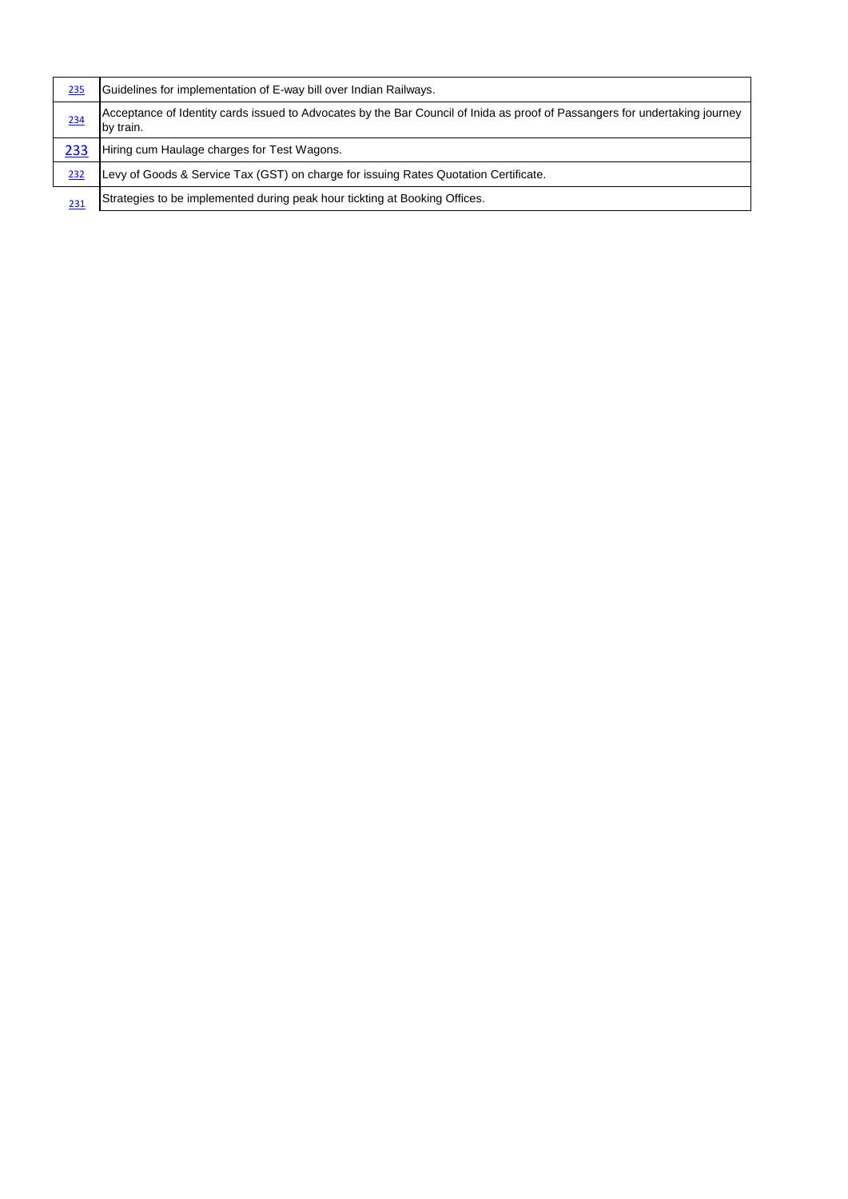| 235        | Guidelines for implementation of E-way bill over Indian Railways.                                                                        |
|------------|------------------------------------------------------------------------------------------------------------------------------------------|
| 234        | Acceptance of Identity cards issued to Advocates by the Bar Council of Inida as proof of Passangers for undertaking journey<br>by train. |
| 233        | Hiring cum Haulage charges for Test Wagons.                                                                                              |
| 232        | Levy of Goods & Service Tax (GST) on charge for issuing Rates Quotation Certificate.                                                     |
| <u>231</u> | Strategies to be implemented during peak hour tickting at Booking Offices.                                                               |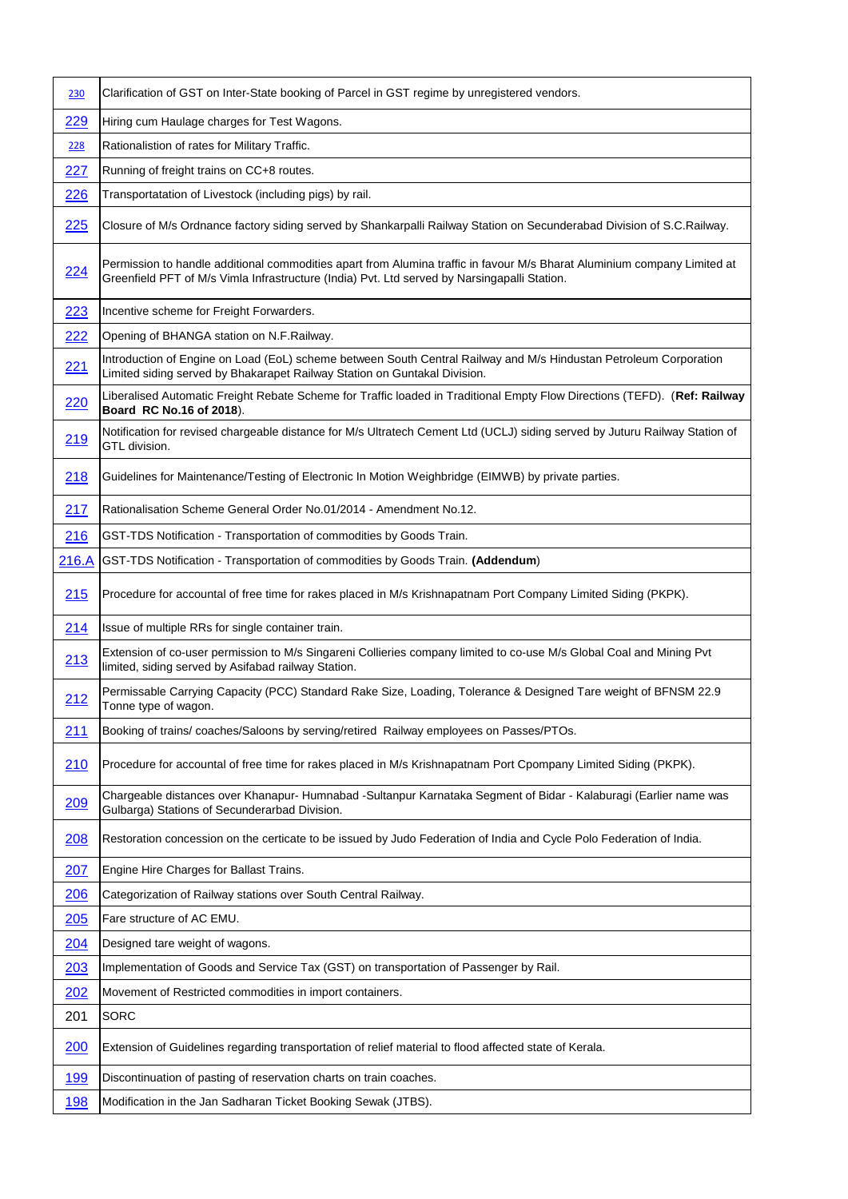| 230        | Clarification of GST on Inter-State booking of Parcel in GST regime by unregistered vendors.                                                                                                                             |
|------------|--------------------------------------------------------------------------------------------------------------------------------------------------------------------------------------------------------------------------|
| 229        | Hiring cum Haulage charges for Test Wagons.                                                                                                                                                                              |
| 228        | Rationalistion of rates for Military Traffic.                                                                                                                                                                            |
| 227        | Running of freight trains on CC+8 routes.                                                                                                                                                                                |
| 226        | Transportatation of Livestock (including pigs) by rail.                                                                                                                                                                  |
| 225        | Closure of M/s Ordnance factory siding served by Shankarpalli Railway Station on Secunderabad Division of S.C.Railway.                                                                                                   |
| 224        | Permission to handle additional commodities apart from Alumina traffic in favour M/s Bharat Aluminium company Limited at<br>Greenfield PFT of M/s Vimla Infrastructure (India) Pvt. Ltd served by Narsingapalli Station. |
| 223        | Incentive scheme for Freight Forwarders.                                                                                                                                                                                 |
| 222        | Opening of BHANGA station on N.F.Railway.                                                                                                                                                                                |
| 221        | Introduction of Engine on Load (EoL) scheme between South Central Railway and M/s Hindustan Petroleum Corporation<br>Limited siding served by Bhakarapet Railway Station on Guntakal Division.                           |
| 220        | Liberalised Automatic Freight Rebate Scheme for Traffic loaded in Traditional Empty Flow Directions (TEFD). (Ref: Railway<br>Board RC No.16 of 2018).                                                                    |
| 219        | Notification for revised chargeable distance for M/s Ultratech Cement Ltd (UCLJ) siding served by Juturu Railway Station of<br>GTL division.                                                                             |
| 218        | Guidelines for Maintenance/Testing of Electronic In Motion Weighbridge (EIMWB) by private parties.                                                                                                                       |
| 217        | Rationalisation Scheme General Order No.01/2014 - Amendment No.12.                                                                                                                                                       |
| 216        | GST-TDS Notification - Transportation of commodities by Goods Train.                                                                                                                                                     |
| 216.A      | GST-TDS Notification - Transportation of commodities by Goods Train. (Addendum)                                                                                                                                          |
| 215        | Procedure for accountal of free time for rakes placed in M/s Krishnapatnam Port Company Limited Siding (PKPK).                                                                                                           |
| 214        | Issue of multiple RRs for single container train.                                                                                                                                                                        |
| 213        | Extension of co-user permission to M/s Singareni Collieries company limited to co-use M/s Global Coal and Mining Pvt<br>limited, siding served by Asifabad railway Station.                                              |
| 212        | Permissable Carrying Capacity (PCC) Standard Rake Size, Loading, Tolerance & Designed Tare weight of BFNSM 22.9<br>Tonne type of wagon.                                                                                  |
| 211        | Booking of trains/ coaches/Saloons by serving/retired Railway employees on Passes/PTOs.                                                                                                                                  |
| 210        | Procedure for accountal of free time for rakes placed in M/s Krishnapatnam Port Cpompany Limited Siding (PKPK).                                                                                                          |
| 209        | Chargeable distances over Khanapur- Humnabad -Sultanpur Karnataka Segment of Bidar - Kalaburagi (Earlier name was<br>Gulbarga) Stations of Secunderarbad Division.                                                       |
| 208        | Restoration concession on the certicate to be issued by Judo Federation of India and Cycle Polo Federation of India.                                                                                                     |
| 207        | Engine Hire Charges for Ballast Trains.                                                                                                                                                                                  |
| <u>206</u> | Categorization of Railway stations over South Central Railway.                                                                                                                                                           |
| 205        | Fare structure of AC EMU.                                                                                                                                                                                                |
| 204        | Designed tare weight of wagons.                                                                                                                                                                                          |
| 203        | Implementation of Goods and Service Tax (GST) on transportation of Passenger by Rail.                                                                                                                                    |
| 202        | Movement of Restricted commodities in import containers.                                                                                                                                                                 |
| 201        | <b>SORC</b>                                                                                                                                                                                                              |
| 200        | Extension of Guidelines regarding transportation of relief material to flood affected state of Kerala.                                                                                                                   |
| 199        | Discontinuation of pasting of reservation charts on train coaches.                                                                                                                                                       |
| 198        | Modification in the Jan Sadharan Ticket Booking Sewak (JTBS).                                                                                                                                                            |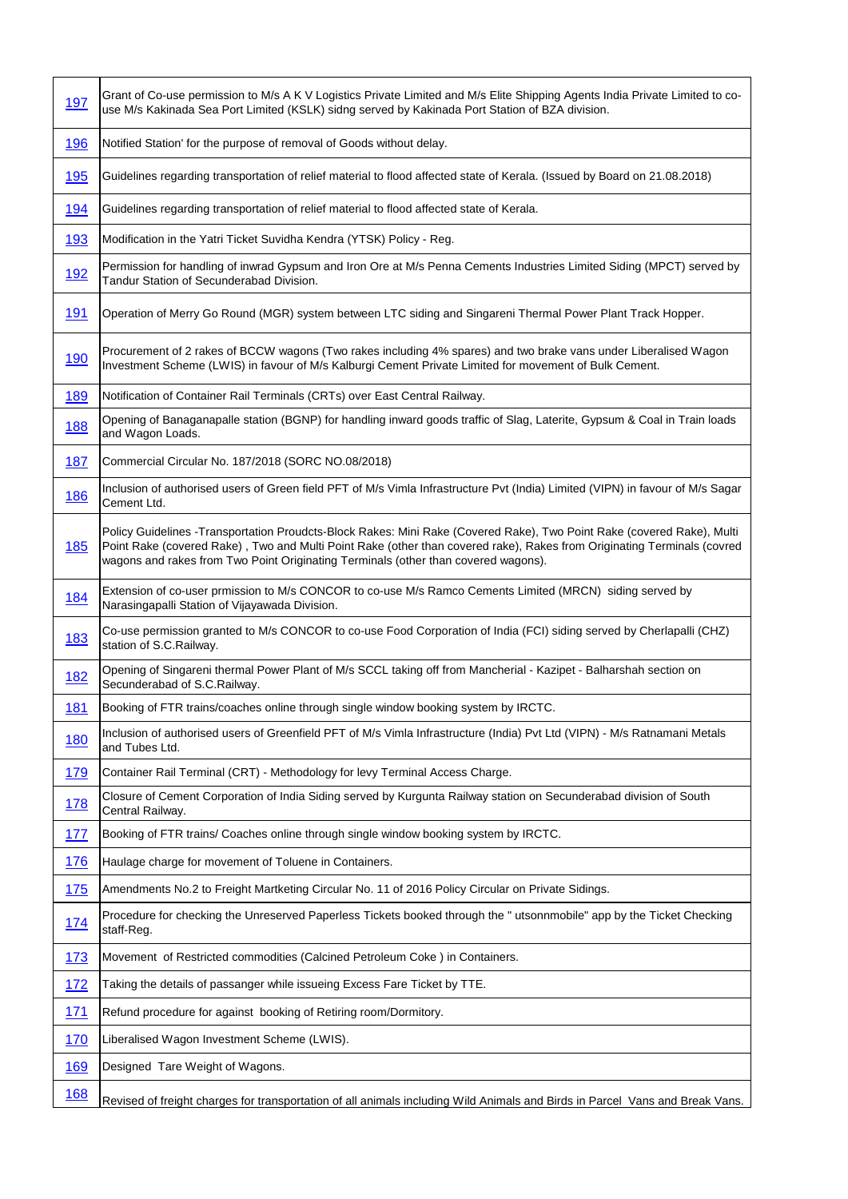| <u>197</u> | Grant of Co-use permission to M/s A K V Logistics Private Limited and M/s Elite Shipping Agents India Private Limited to co-<br>use M/s Kakinada Sea Port Limited (KSLK) sidng served by Kakinada Port Station of BZA division.                                                                                                         |
|------------|-----------------------------------------------------------------------------------------------------------------------------------------------------------------------------------------------------------------------------------------------------------------------------------------------------------------------------------------|
| <u>196</u> | Notified Station' for the purpose of removal of Goods without delay.                                                                                                                                                                                                                                                                    |
| <u>195</u> | Guidelines regarding transportation of relief material to flood affected state of Kerala. (Issued by Board on 21.08.2018)                                                                                                                                                                                                               |
| <u>194</u> | Guidelines regarding transportation of relief material to flood affected state of Kerala.                                                                                                                                                                                                                                               |
| 193        | Modification in the Yatri Ticket Suvidha Kendra (YTSK) Policy - Reg.                                                                                                                                                                                                                                                                    |
| <u>192</u> | Permission for handling of inwrad Gypsum and Iron Ore at M/s Penna Cements Industries Limited Siding (MPCT) served by<br>Tandur Station of Secunderabad Division.                                                                                                                                                                       |
| <u>191</u> | Operation of Merry Go Round (MGR) system between LTC siding and Singareni Thermal Power Plant Track Hopper.                                                                                                                                                                                                                             |
| <u>190</u> | Procurement of 2 rakes of BCCW wagons (Two rakes including 4% spares) and two brake vans under Liberalised Wagon<br>Investment Scheme (LWIS) in favour of M/s Kalburgi Cement Private Limited for movement of Bulk Cement.                                                                                                              |
| <u>189</u> | Notification of Container Rail Terminals (CRTs) over East Central Railway.                                                                                                                                                                                                                                                              |
| <u>188</u> | Opening of Banaganapalle station (BGNP) for handling inward goods traffic of Slag, Laterite, Gypsum & Coal in Train loads<br>and Wagon Loads.                                                                                                                                                                                           |
| <b>187</b> | Commercial Circular No. 187/2018 (SORC NO.08/2018)                                                                                                                                                                                                                                                                                      |
| 186        | Inclusion of authorised users of Green field PFT of M/s Vimla Infrastructure Pvt (India) Limited (VIPN) in favour of M/s Sagar<br>Cement Ltd.                                                                                                                                                                                           |
| <b>185</b> | Policy Guidelines -Transportation Proudcts-Block Rakes: Mini Rake (Covered Rake), Two Point Rake (covered Rake), Multi<br>Point Rake (covered Rake), Two and Multi Point Rake (other than covered rake), Rakes from Originating Terminals (covred<br>wagons and rakes from Two Point Originating Terminals (other than covered wagons). |
| 184        | Extension of co-user prmission to M/s CONCOR to co-use M/s Ramco Cements Limited (MRCN) siding served by<br>Narasingapalli Station of Vijayawada Division.                                                                                                                                                                              |
| 183        | Co-use permission granted to M/s CONCOR to co-use Food Corporation of India (FCI) siding served by Cherlapalli (CHZ)<br>station of S.C.Railway.                                                                                                                                                                                         |
| <u>182</u> | Opening of Singareni thermal Power Plant of M/s SCCL taking off from Mancherial - Kazipet - Balharshah section on<br>Secunderabad of S.C.Railway.                                                                                                                                                                                       |
| 181        | Booking of FTR trains/coaches online through single window booking system by IRCTC.                                                                                                                                                                                                                                                     |
| <b>180</b> | Inclusion of authorised users of Greenfield PFT of M/s Vimla Infrastructure (India) Pvt Ltd (VIPN) - M/s Ratnamani Metals<br>and Tubes Ltd.                                                                                                                                                                                             |
| 179        | Container Rail Terminal (CRT) - Methodology for levy Terminal Access Charge.                                                                                                                                                                                                                                                            |
| <u>178</u> | Closure of Cement Corporation of India Siding served by Kurgunta Railway station on Secunderabad division of South<br>Central Railway.                                                                                                                                                                                                  |
| <u>177</u> | Booking of FTR trains/ Coaches online through single window booking system by IRCTC.                                                                                                                                                                                                                                                    |
| 176        | Haulage charge for movement of Toluene in Containers.                                                                                                                                                                                                                                                                                   |
| 175        | Amendments No.2 to Freight Martketing Circular No. 11 of 2016 Policy Circular on Private Sidings.                                                                                                                                                                                                                                       |
| <u>174</u> | Procedure for checking the Unreserved Paperless Tickets booked through the "utsonnmobile" app by the Ticket Checking<br>staff-Reg.                                                                                                                                                                                                      |
| 173        | Movement of Restricted commodities (Calcined Petroleum Coke) in Containers.                                                                                                                                                                                                                                                             |
| 172        | Taking the details of passanger while issueing Excess Fare Ticket by TTE.                                                                                                                                                                                                                                                               |
| 171        | Refund procedure for against booking of Retiring room/Dormitory.                                                                                                                                                                                                                                                                        |
| <u>170</u> | Liberalised Wagon Investment Scheme (LWIS).                                                                                                                                                                                                                                                                                             |
| <u>169</u> | Designed Tare Weight of Wagons.                                                                                                                                                                                                                                                                                                         |
| 168        | Revised of freight charges for transportation of all animals including Wild Animals and Birds in Parcel Vans and Break Vans.                                                                                                                                                                                                            |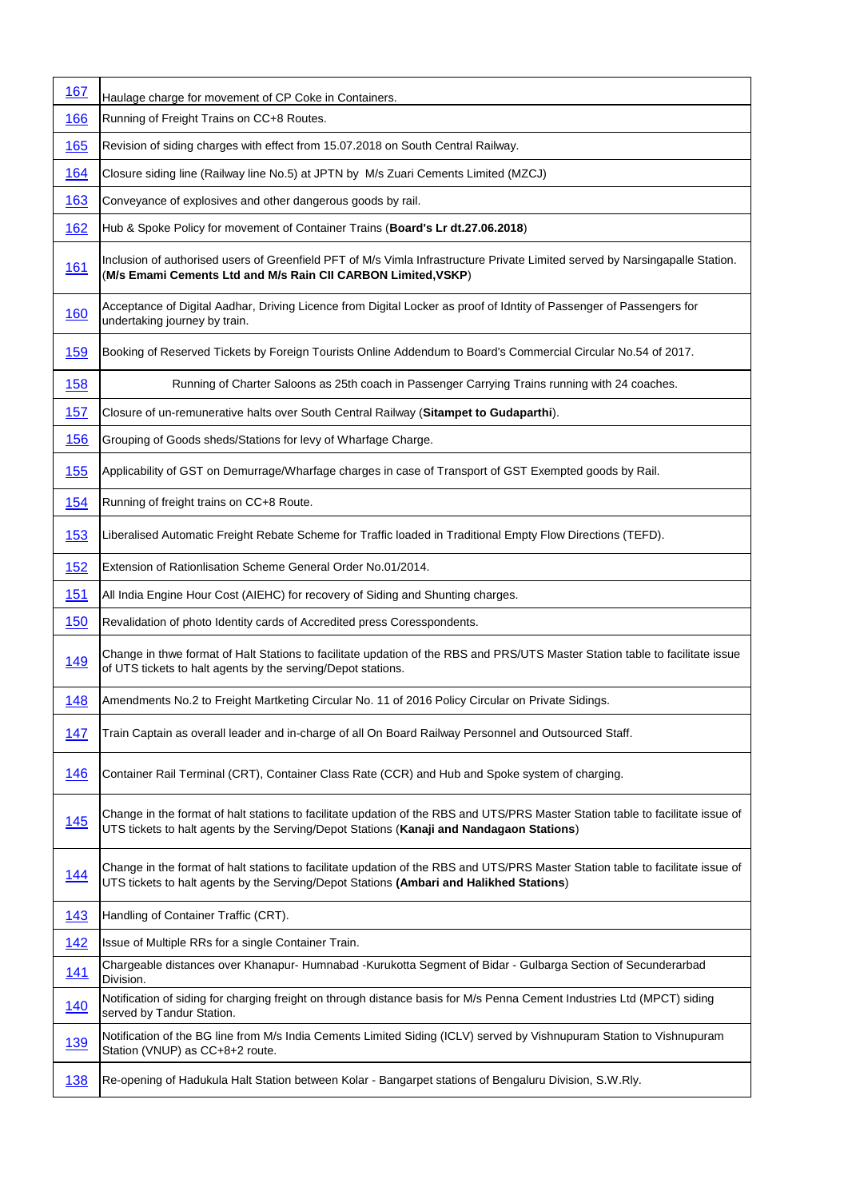| 167        | Haulage charge for movement of CP Coke in Containers.                                                                                                                                                                       |
|------------|-----------------------------------------------------------------------------------------------------------------------------------------------------------------------------------------------------------------------------|
| 166        | Running of Freight Trains on CC+8 Routes.                                                                                                                                                                                   |
| 165        | Revision of siding charges with effect from 15.07.2018 on South Central Railway.                                                                                                                                            |
| <u>164</u> | Closure siding line (Railway line No.5) at JPTN by M/s Zuari Cements Limited (MZCJ)                                                                                                                                         |
| <u>163</u> | Conveyance of explosives and other dangerous goods by rail.                                                                                                                                                                 |
| 162        | Hub & Spoke Policy for movement of Container Trains (Board's Lr dt.27.06.2018)                                                                                                                                              |
| <u>161</u> | Inclusion of authorised users of Greenfield PFT of M/s Vimla Infrastructure Private Limited served by Narsingapalle Station.<br>(M/s Emami Cements Ltd and M/s Rain CII CARBON Limited, VSKP)                               |
| 160        | Acceptance of Digital Aadhar, Driving Licence from Digital Locker as proof of Idntity of Passenger of Passengers for<br>undertaking journey by train.                                                                       |
| <u>159</u> | Booking of Reserved Tickets by Foreign Tourists Online Addendum to Board's Commercial Circular No.54 of 2017.                                                                                                               |
| <u>158</u> | Running of Charter Saloons as 25th coach in Passenger Carrying Trains running with 24 coaches.                                                                                                                              |
| 157        | Closure of un-remunerative halts over South Central Railway (Sitampet to Gudaparthi).                                                                                                                                       |
| 156        | Grouping of Goods sheds/Stations for levy of Wharfage Charge.                                                                                                                                                               |
| 155        | Applicability of GST on Demurrage/Wharfage charges in case of Transport of GST Exempted goods by Rail.                                                                                                                      |
| <u>154</u> | Running of freight trains on CC+8 Route.                                                                                                                                                                                    |
| <u>153</u> | Liberalised Automatic Freight Rebate Scheme for Traffic loaded in Traditional Empty Flow Directions (TEFD).                                                                                                                 |
| <u>152</u> | Extension of Rationlisation Scheme General Order No.01/2014.                                                                                                                                                                |
| 151        | All India Engine Hour Cost (AIEHC) for recovery of Siding and Shunting charges.                                                                                                                                             |
| 150        | Revalidation of photo Identity cards of Accredited press Coresspondents.                                                                                                                                                    |
| <u>149</u> | Change in thwe format of Halt Stations to facilitate updation of the RBS and PRS/UTS Master Station table to facilitate issue<br>of UTS tickets to halt agents by the serving/Depot stations.                               |
| 148        | Amendments No.2 to Freight Martketing Circular No. 11 of 2016 Policy Circular on Private Sidings.                                                                                                                           |
| 147        | Train Captain as overall leader and in-charge of all On Board Railway Personnel and Outsourced Staff.                                                                                                                       |
| <u>146</u> | Container Rail Terminal (CRT), Container Class Rate (CCR) and Hub and Spoke system of charging.                                                                                                                             |
| <b>145</b> | Change in the format of halt stations to facilitate updation of the RBS and UTS/PRS Master Station table to facilitate issue of<br>UTS tickets to halt agents by the Serving/Depot Stations (Kanaji and Nandagaon Stations) |
| <u>144</u> | Change in the format of halt stations to facilitate updation of the RBS and UTS/PRS Master Station table to facilitate issue of<br>UTS tickets to halt agents by the Serving/Depot Stations (Ambari and Halikhed Stations)  |
| 143        | Handling of Container Traffic (CRT).                                                                                                                                                                                        |
| 142        | Issue of Multiple RRs for a single Container Train.                                                                                                                                                                         |
| <u>141</u> | Chargeable distances over Khanapur- Humnabad -Kurukotta Segment of Bidar - Gulbarga Section of Secunderarbad<br>Division.                                                                                                   |
| <u>140</u> | Notification of siding for charging freight on through distance basis for M/s Penna Cement Industries Ltd (MPCT) siding<br>served by Tandur Station.                                                                        |
| <u>139</u> | Notification of the BG line from M/s India Cements Limited Siding (ICLV) served by Vishnupuram Station to Vishnupuram<br>Station (VNUP) as CC+8+2 route.                                                                    |
| <u>138</u> | Re-opening of Hadukula Halt Station between Kolar - Bangarpet stations of Bengaluru Division, S.W.Rly.                                                                                                                      |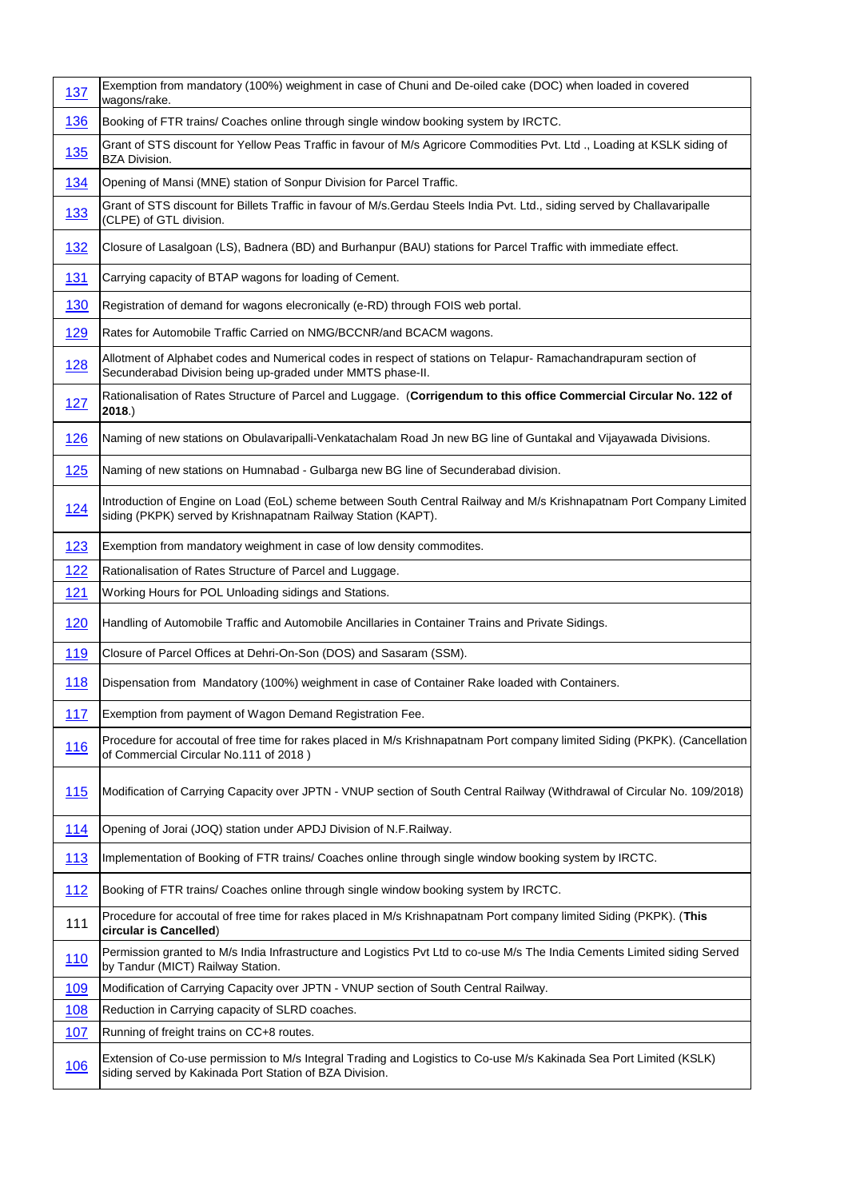| 137         | Exemption from mandatory (100%) weighment in case of Chuni and De-oiled cake (DOC) when loaded in covered<br>wagons/rake.                                                             |
|-------------|---------------------------------------------------------------------------------------------------------------------------------------------------------------------------------------|
| 136         | Booking of FTR trains/ Coaches online through single window booking system by IRCTC.                                                                                                  |
| <u>135</u>  | Grant of STS discount for Yellow Peas Traffic in favour of M/s Agricore Commodities Pvt. Ltd., Loading at KSLK siding of<br><b>BZA Division.</b>                                      |
| <u>134</u>  | Opening of Mansi (MNE) station of Sonpur Division for Parcel Traffic.                                                                                                                 |
| <u>133</u>  | Grant of STS discount for Billets Traffic in favour of M/s.Gerdau Steels India Pvt. Ltd., siding served by Challavaripalle<br>(CLPE) of GTL division.                                 |
| 132         | Closure of Lasalgoan (LS), Badnera (BD) and Burhanpur (BAU) stations for Parcel Traffic with immediate effect.                                                                        |
| <u>131</u>  | Carrying capacity of BTAP wagons for loading of Cement.                                                                                                                               |
| 130         | Registration of demand for wagons elecronically (e-RD) through FOIS web portal.                                                                                                       |
| 129         | Rates for Automobile Traffic Carried on NMG/BCCNR/and BCACM wagons.                                                                                                                   |
| <u>128</u>  | Allotment of Alphabet codes and Numerical codes in respect of stations on Telapur- Ramachandrapuram section of<br>Secunderabad Division being up-graded under MMTS phase-II.          |
| 127         | Rationalisation of Rates Structure of Parcel and Luggage. (Corrigendum to this office Commercial Circular No. 122 of<br>$2018.$ )                                                     |
| <u>126</u>  | Naming of new stations on Obulavaripalli-Venkatachalam Road Jn new BG line of Guntakal and Vijayawada Divisions.                                                                      |
| 125         | Naming of new stations on Humnabad - Gulbarga new BG line of Secunderabad division.                                                                                                   |
| <u>124</u>  | Introduction of Engine on Load (EoL) scheme between South Central Railway and M/s Krishnapatnam Port Company Limited<br>siding (PKPK) served by Krishnapatnam Railway Station (KAPT). |
| 123         | Exemption from mandatory weighment in case of low density commodites.                                                                                                                 |
| 122         | Rationalisation of Rates Structure of Parcel and Luggage.                                                                                                                             |
|             |                                                                                                                                                                                       |
| 121         | Working Hours for POL Unloading sidings and Stations.                                                                                                                                 |
| 120         | Handling of Automobile Traffic and Automobile Ancillaries in Container Trains and Private Sidings.                                                                                    |
| 119         | Closure of Parcel Offices at Dehri-On-Son (DOS) and Sasaram (SSM).                                                                                                                    |
| <u>118</u>  | Dispensation from Mandatory (100%) weighment in case of Container Rake loaded with Containers.                                                                                        |
| 117         | Exemption from payment of Wagon Demand Registration Fee.                                                                                                                              |
| <u>116</u>  | Procedure for accoutal of free time for rakes placed in M/s Krishnapatnam Port company limited Siding (PKPK). (Cancellation<br>of Commercial Circular No.111 of 2018)                 |
| 115         | Modification of Carrying Capacity over JPTN - VNUP section of South Central Railway (Withdrawal of Circular No. 109/2018)                                                             |
| <u> 114</u> | Opening of Jorai (JOQ) station under APDJ Division of N.F.Railway.                                                                                                                    |
| <u>113</u>  | Implementation of Booking of FTR trains/ Coaches online through single window booking system by IRCTC.                                                                                |
| <u>112</u>  | Booking of FTR trains/ Coaches online through single window booking system by IRCTC.                                                                                                  |
| 111         | Procedure for accoutal of free time for rakes placed in M/s Krishnapatnam Port company limited Siding (PKPK). (This<br>circular is Cancelled)                                         |
| <u>110</u>  | Permission granted to M/s India Infrastructure and Logistics Pvt Ltd to co-use M/s The India Cements Limited siding Served<br>by Tandur (MICT) Railway Station.                       |
| 109         | Modification of Carrying Capacity over JPTN - VNUP section of South Central Railway.                                                                                                  |
| <u>108</u>  | Reduction in Carrying capacity of SLRD coaches.                                                                                                                                       |
| 107         | Running of freight trains on CC+8 routes.                                                                                                                                             |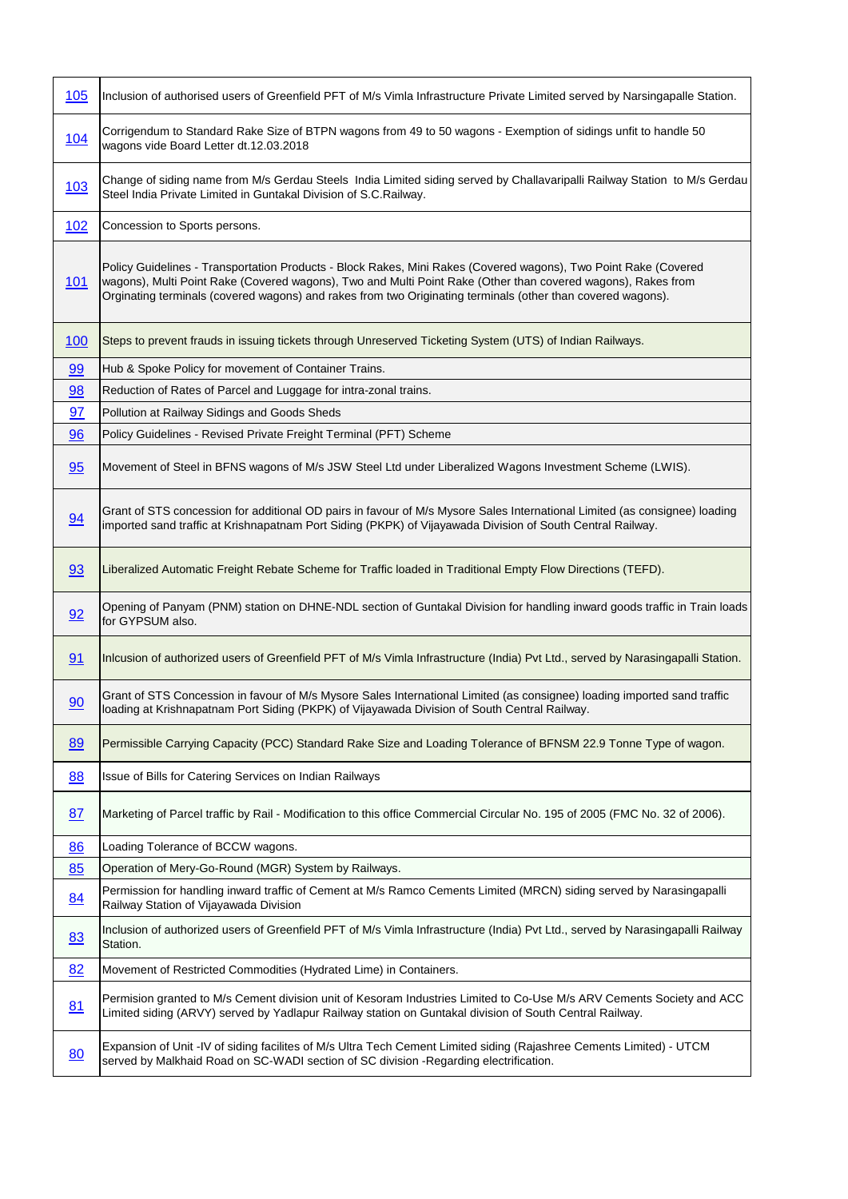| 105        | Inclusion of authorised users of Greenfield PFT of M/s Vimla Infrastructure Private Limited served by Narsingapalle Station.                                                                                                                                                                                                                   |
|------------|------------------------------------------------------------------------------------------------------------------------------------------------------------------------------------------------------------------------------------------------------------------------------------------------------------------------------------------------|
| <u>104</u> | Corrigendum to Standard Rake Size of BTPN wagons from 49 to 50 wagons - Exemption of sidings unfit to handle 50<br>wagons vide Board Letter dt.12.03.2018                                                                                                                                                                                      |
| <u>103</u> | Change of siding name from M/s Gerdau Steels India Limited siding served by Challavaripalli Railway Station to M/s Gerdau<br>Steel India Private Limited in Guntakal Division of S.C.Railway.                                                                                                                                                  |
| 102        | Concession to Sports persons.                                                                                                                                                                                                                                                                                                                  |
| <u>101</u> | Policy Guidelines - Transportation Products - Block Rakes, Mini Rakes (Covered wagons), Two Point Rake (Covered<br>wagons), Multi Point Rake (Covered wagons), Two and Multi Point Rake (Other than covered wagons), Rakes from<br>Orginating terminals (covered wagons) and rakes from two Originating terminals (other than covered wagons). |
| <u>100</u> | Steps to prevent frauds in issuing tickets through Unreserved Ticketing System (UTS) of Indian Railways.                                                                                                                                                                                                                                       |
| 99         | Hub & Spoke Policy for movement of Container Trains.                                                                                                                                                                                                                                                                                           |
| 98         | Reduction of Rates of Parcel and Luggage for intra-zonal trains.                                                                                                                                                                                                                                                                               |
| 97         | Pollution at Railway Sidings and Goods Sheds                                                                                                                                                                                                                                                                                                   |
| 96         | Policy Guidelines - Revised Private Freight Terminal (PFT) Scheme                                                                                                                                                                                                                                                                              |
| 95         | Movement of Steel in BFNS wagons of M/s JSW Steel Ltd under Liberalized Wagons Investment Scheme (LWIS).                                                                                                                                                                                                                                       |
| 94         | Grant of STS concession for additional OD pairs in favour of M/s Mysore Sales International Limited (as consignee) loading<br>imported sand traffic at Krishnapatnam Port Siding (PKPK) of Vijayawada Division of South Central Railway.                                                                                                       |
| 93         | Liberalized Automatic Freight Rebate Scheme for Traffic loaded in Traditional Empty Flow Directions (TEFD).                                                                                                                                                                                                                                    |
| 92         | Opening of Panyam (PNM) station on DHNE-NDL section of Guntakal Division for handling inward goods traffic in Train loads<br>for GYPSUM also.                                                                                                                                                                                                  |
| 91         | Inlcusion of authorized users of Greenfield PFT of M/s Vimla Infrastructure (India) Pvt Ltd., served by Narasingapalli Station.                                                                                                                                                                                                                |
| 90         | Grant of STS Concession in favour of M/s Mysore Sales International Limited (as consignee) loading imported sand traffic<br>loading at Krishnapatnam Port Siding (PKPK) of Vijayawada Division of South Central Railway.                                                                                                                       |
| 89         | Permissible Carrying Capacity (PCC) Standard Rake Size and Loading Tolerance of BFNSM 22.9 Tonne Type of wagon.                                                                                                                                                                                                                                |
| 88         | Issue of Bills for Catering Services on Indian Railways                                                                                                                                                                                                                                                                                        |
| 87         | Marketing of Parcel traffic by Rail - Modification to this office Commercial Circular No. 195 of 2005 (FMC No. 32 of 2006).                                                                                                                                                                                                                    |
| 86         | Loading Tolerance of BCCW wagons.                                                                                                                                                                                                                                                                                                              |
| 85         | Operation of Mery-Go-Round (MGR) System by Railways.                                                                                                                                                                                                                                                                                           |
| 84         | Permission for handling inward traffic of Cement at M/s Ramco Cements Limited (MRCN) siding served by Narasingapalli<br>Railway Station of Vijayawada Division                                                                                                                                                                                 |
| 83         | Inclusion of authorized users of Greenfield PFT of M/s Vimla Infrastructure (India) Pvt Ltd., served by Narasingapalli Railway<br>Station.                                                                                                                                                                                                     |
| 82         | Movement of Restricted Commodities (Hydrated Lime) in Containers.                                                                                                                                                                                                                                                                              |
| 81         | Permision granted to M/s Cement division unit of Kesoram Industries Limited to Co-Use M/s ARV Cements Society and ACC<br>Limited siding (ARVY) served by Yadlapur Railway station on Guntakal division of South Central Railway.                                                                                                               |
| 80         | Expansion of Unit -IV of siding facilites of M/s Ultra Tech Cement Limited siding (Rajashree Cements Limited) - UTCM<br>served by Malkhaid Road on SC-WADI section of SC division -Regarding electrification.                                                                                                                                  |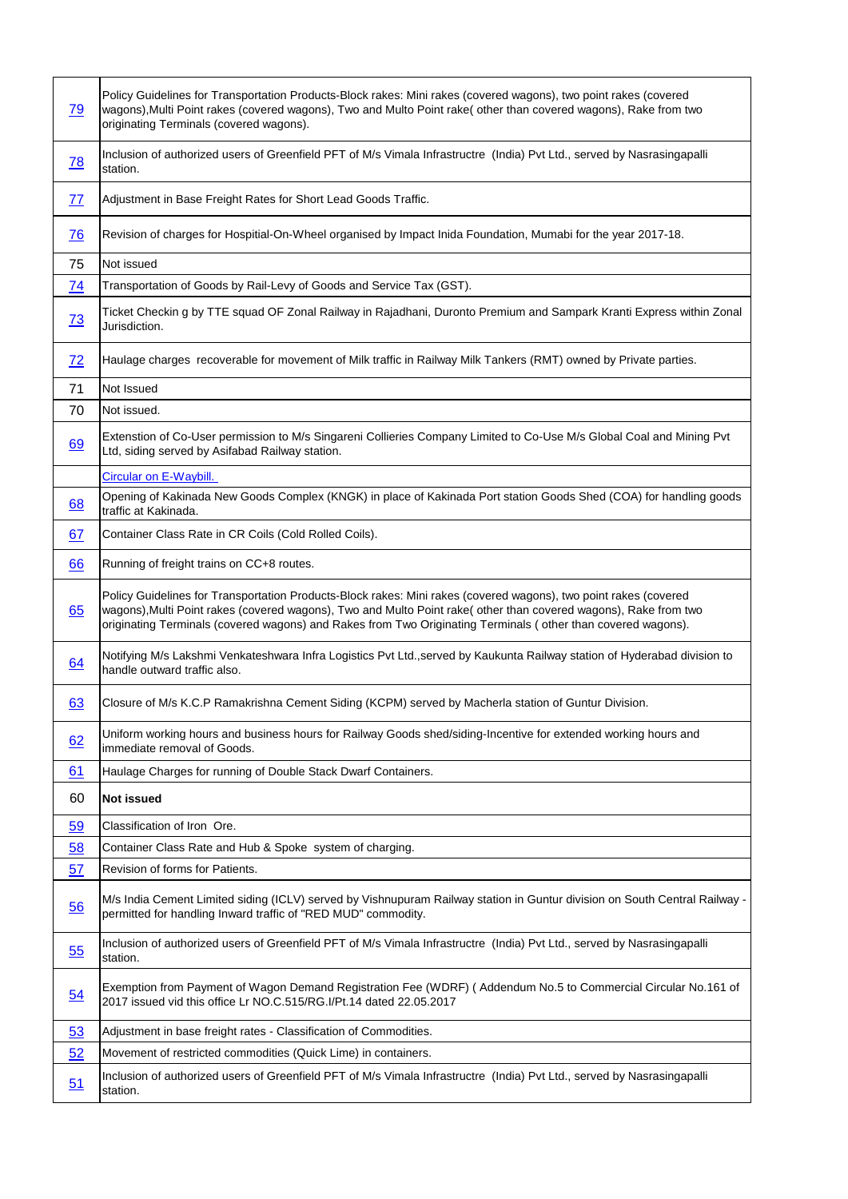| <u>79</u>        | Policy Guidelines for Transportation Products-Block rakes: Mini rakes (covered wagons), two point rakes (covered<br>wagons), Multi Point rakes (covered wagons), Two and Multo Point rake( other than covered wagons), Rake from two<br>originating Terminals (covered wagons).                                                                      |
|------------------|------------------------------------------------------------------------------------------------------------------------------------------------------------------------------------------------------------------------------------------------------------------------------------------------------------------------------------------------------|
| 78               | Inclusion of authorized users of Greenfield PFT of M/s Vimala Infrastructre (India) Pvt Ltd., served by Nasrasingapalli<br>station.                                                                                                                                                                                                                  |
| <u>77</u>        | Adjustment in Base Freight Rates for Short Lead Goods Traffic.                                                                                                                                                                                                                                                                                       |
| 76               | Revision of charges for Hospitial-On-Wheel organised by Impact Inida Foundation, Mumabi for the year 2017-18.                                                                                                                                                                                                                                        |
| 75               | Not issued                                                                                                                                                                                                                                                                                                                                           |
| 74               | Transportation of Goods by Rail-Levy of Goods and Service Tax (GST).                                                                                                                                                                                                                                                                                 |
| 73               | Ticket Checkin g by TTE squad OF Zonal Railway in Rajadhani, Duronto Premium and Sampark Kranti Express within Zonal<br>Jurisdiction.                                                                                                                                                                                                                |
| 72               | Haulage charges recoverable for movement of Milk traffic in Railway Milk Tankers (RMT) owned by Private parties.                                                                                                                                                                                                                                     |
| 71               | Not Issued                                                                                                                                                                                                                                                                                                                                           |
| 70               | Not issued.                                                                                                                                                                                                                                                                                                                                          |
| 69               | Extenstion of Co-User permission to M/s Singareni Collieries Company Limited to Co-Use M/s Global Coal and Mining Pvt<br>Ltd, siding served by Asifabad Railway station.                                                                                                                                                                             |
|                  | <b>Circular on E-Waybill.</b>                                                                                                                                                                                                                                                                                                                        |
| 68               | Opening of Kakinada New Goods Complex (KNGK) in place of Kakinada Port station Goods Shed (COA) for handling goods<br>traffic at Kakinada.                                                                                                                                                                                                           |
| 67               | Container Class Rate in CR Coils (Cold Rolled Coils).                                                                                                                                                                                                                                                                                                |
| 66               | Running of freight trains on CC+8 routes.                                                                                                                                                                                                                                                                                                            |
| 65               | Policy Guidelines for Transportation Products-Block rakes: Mini rakes (covered wagons), two point rakes (covered<br>wagons), Multi Point rakes (covered wagons), Two and Multo Point rake( other than covered wagons), Rake from two<br>originating Terminals (covered wagons) and Rakes from Two Originating Terminals (other than covered wagons). |
| 64               | Notifying M/s Lakshmi Venkateshwara Infra Logistics Pvt Ltd., served by Kaukunta Railway station of Hyderabad division to<br>handle outward traffic also.                                                                                                                                                                                            |
| 63               | Closure of M/s K.C.P Ramakrishna Cement Siding (KCPM) served by Macherla station of Guntur Division.                                                                                                                                                                                                                                                 |
| 62               | Uniform working hours and business hours for Railway Goods shed/siding-Incentive for extended working hours and<br>immediate removal of Goods.                                                                                                                                                                                                       |
| 61               | Haulage Charges for running of Double Stack Dwarf Containers.                                                                                                                                                                                                                                                                                        |
| 60               | <b>Not issued</b>                                                                                                                                                                                                                                                                                                                                    |
| <u>59</u>        | Classification of Iron Ore.                                                                                                                                                                                                                                                                                                                          |
| 58               | Container Class Rate and Hub & Spoke system of charging.                                                                                                                                                                                                                                                                                             |
| 57               | Revision of forms for Patients.                                                                                                                                                                                                                                                                                                                      |
| 56               | M/s India Cement Limited siding (ICLV) served by Vishnupuram Railway station in Guntur division on South Central Railway -<br>permitted for handling Inward traffic of "RED MUD" commodity.                                                                                                                                                          |
| 55               | Inclusion of authorized users of Greenfield PFT of M/s Vimala Infrastructre (India) Pvt Ltd., served by Nasrasingapalli<br>station.                                                                                                                                                                                                                  |
| $\underline{54}$ | Exemption from Payment of Wagon Demand Registration Fee (WDRF) (Addendum No.5 to Commercial Circular No.161 of<br>2017 issued vid this office Lr NO.C.515/RG.I/Pt.14 dated 22.05.2017                                                                                                                                                                |
| 53               | Adjustment in base freight rates - Classification of Commodities.                                                                                                                                                                                                                                                                                    |
| 52               | Movement of restricted commodities (Quick Lime) in containers.                                                                                                                                                                                                                                                                                       |
| 51               | Inclusion of authorized users of Greenfield PFT of M/s Vimala Infrastructre (India) Pvt Ltd., served by Nasrasingapalli<br>station.                                                                                                                                                                                                                  |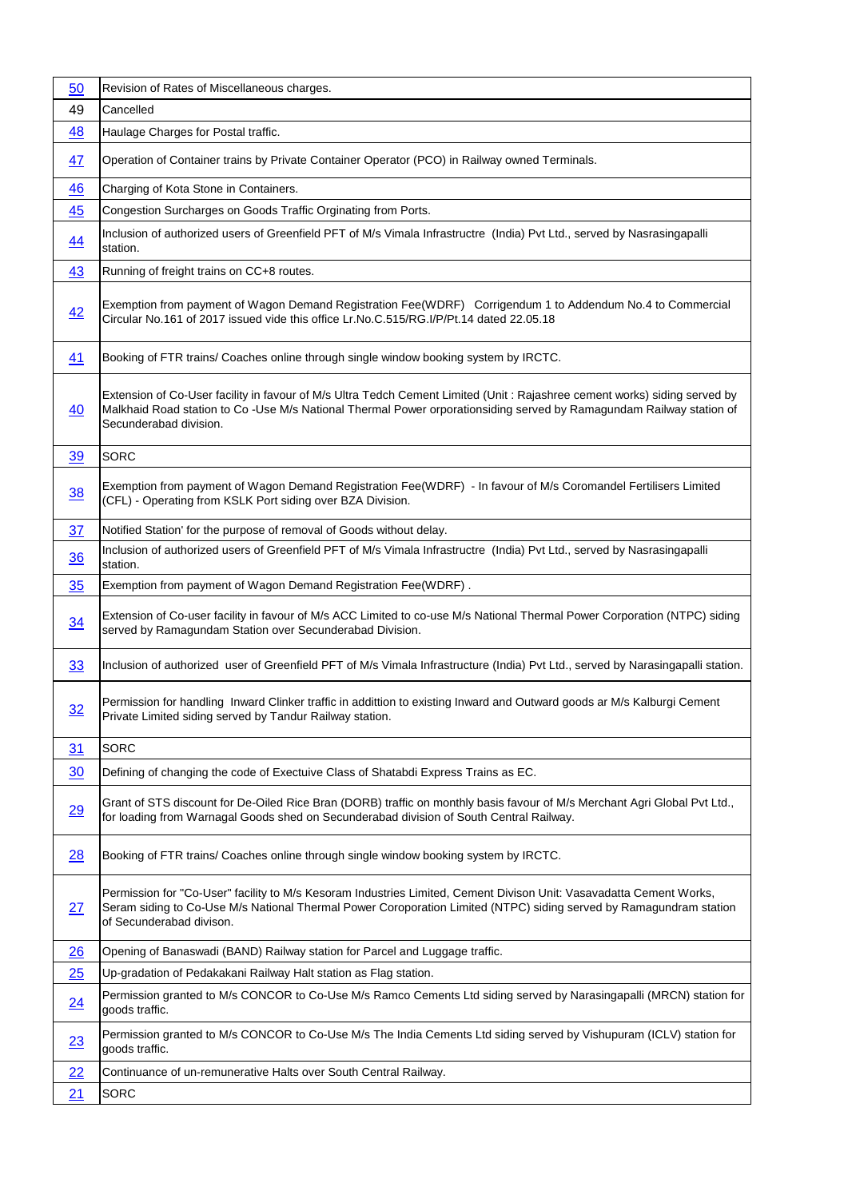| 50             | Revision of Rates of Miscellaneous charges.                                                                                                                                                                                                                                 |
|----------------|-----------------------------------------------------------------------------------------------------------------------------------------------------------------------------------------------------------------------------------------------------------------------------|
| 49             | Cancelled                                                                                                                                                                                                                                                                   |
| 48             | Haulage Charges for Postal traffic.                                                                                                                                                                                                                                         |
| <u>47</u>      | Operation of Container trains by Private Container Operator (PCO) in Railway owned Terminals.                                                                                                                                                                               |
| 46             | Charging of Kota Stone in Containers.                                                                                                                                                                                                                                       |
| 45             | Congestion Surcharges on Goods Traffic Orginating from Ports.                                                                                                                                                                                                               |
| 44             | Inclusion of authorized users of Greenfield PFT of M/s Vimala Infrastructre (India) Pvt Ltd., served by Nasrasingapalli<br>station.                                                                                                                                         |
| 43             | Running of freight trains on CC+8 routes.                                                                                                                                                                                                                                   |
| 42             | Exemption from payment of Wagon Demand Registration Fee(WDRF) Corrigendum 1 to Addendum No.4 to Commercial<br>Circular No.161 of 2017 issued vide this office Lr.No.C.515/RG.I/P/Pt.14 dated 22.05.18                                                                       |
| 41             | Booking of FTR trains/ Coaches online through single window booking system by IRCTC.                                                                                                                                                                                        |
| 40             | Extension of Co-User facility in favour of M/s Ultra Tedch Cement Limited (Unit: Rajashree cement works) siding served by<br>Malkhaid Road station to Co -Use M/s National Thermal Power orporationsiding served by Ramagundam Railway station of<br>Secunderabad division. |
| <u>39</u>      | <b>SORC</b>                                                                                                                                                                                                                                                                 |
| 38             | Exemption from payment of Wagon Demand Registration Fee(WDRF) - In favour of M/s Coromandel Fertilisers Limited<br>(CFL) - Operating from KSLK Port siding over BZA Division.                                                                                               |
| 37             | Notified Station' for the purpose of removal of Goods without delay.                                                                                                                                                                                                        |
| 36             | Inclusion of authorized users of Greenfield PFT of M/s Vimala Infrastructre (India) Pvt Ltd., served by Nasrasingapalli<br>station.                                                                                                                                         |
| 35             | Exemption from payment of Wagon Demand Registration Fee(WDRF).                                                                                                                                                                                                              |
| $\frac{34}{5}$ | Extension of Co-user facility in favour of M/s ACC Limited to co-use M/s National Thermal Power Corporation (NTPC) siding<br>served by Ramagundam Station over Secunderabad Division.                                                                                       |
| 33             | Inclusion of authorized user of Greenfield PFT of M/s Vimala Infrastructure (India) Pvt Ltd., served by Narasingapalli station.                                                                                                                                             |
| 32             | Permission for handling Inward Clinker traffic in addittion to existing Inward and Outward goods ar M/s Kalburgi Cement<br>Private Limited siding served by Tandur Railway station.                                                                                         |
| 31             | <b>SORC</b>                                                                                                                                                                                                                                                                 |
| 30             | Defining of changing the code of Exectuive Class of Shatabdi Express Trains as EC.                                                                                                                                                                                          |
| 29             | Grant of STS discount for De-Oiled Rice Bran (DORB) traffic on monthly basis favour of M/s Merchant Agri Global Pvt Ltd.,<br>for loading from Warnagal Goods shed on Secunderabad division of South Central Railway.                                                        |
| 28             | Booking of FTR trains/ Coaches online through single window booking system by IRCTC.                                                                                                                                                                                        |
| 27             | Permission for "Co-User" facility to M/s Kesoram Industries Limited, Cement Divison Unit: Vasavadatta Cement Works,<br>Seram siding to Co-Use M/s National Thermal Power Coroporation Limited (NTPC) siding served by Ramagundram station<br>of Secunderabad divison.       |
| 26             | Opening of Banaswadi (BAND) Railway station for Parcel and Luggage traffic.                                                                                                                                                                                                 |
| 25             | Up-gradation of Pedakakani Railway Halt station as Flag station.                                                                                                                                                                                                            |
| 24             | Permission granted to M/s CONCOR to Co-Use M/s Ramco Cements Ltd siding served by Narasingapalli (MRCN) station for<br>goods traffic.                                                                                                                                       |
| 23             | Permission granted to M/s CONCOR to Co-Use M/s The India Cements Ltd siding served by Vishupuram (ICLV) station for<br>goods traffic.                                                                                                                                       |
| 22             | Continuance of un-remunerative Halts over South Central Railway.                                                                                                                                                                                                            |
| 21             | <b>SORC</b>                                                                                                                                                                                                                                                                 |